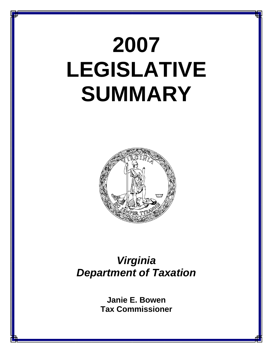# **2007 LEGISLATIVE SUMMARY**



## *Virginia Department of Taxation*

**Janie E. Bowen Tax Commissioner**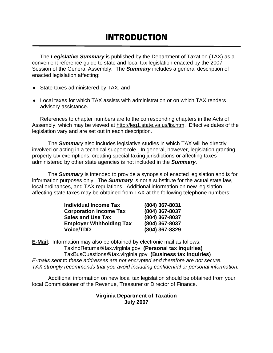## **INTRODUCTION**

The *Legislative Summary* is published by the Department of Taxation (TAX) as a convenient reference guide to state and local tax legislation enacted by the 2007 Session of the General Assembly. The *Summary* includes a general description of enacted legislation affecting:

- ♦ State taxes administered by TAX, and
- ♦ Local taxes for which TAX assists with administration or on which TAX renders advisory assistance.

References to chapter numbers are to the corresponding chapters in the Acts of Assembly, which may be viewed at http://leg1.state.va.us/lis.htm. Effective dates of the legislation vary and are set out in each description.

 The *Summary* also includes legislative studies in which TAX will be directly involved or acting in a technical support role. In general, however, legislation granting property tax exemptions, creating special taxing jurisdictions or affecting taxes administered by other state agencies is not included in the *Summary*.

 The *Summary* is intended to provide a synopsis of enacted legislation and is for information purposes only. The *Summary* is not a substitute for the actual state law, local ordinances, and TAX regulations. Additional information on new legislation affecting state taxes may be obtained from TAX at the following telephone numbers:

| <b>Individual Income Tax</b>    | (804) 367-8031 |
|---------------------------------|----------------|
| <b>Corporation Income Tax</b>   | (804) 367-8037 |
| <b>Sales and Use Tax</b>        | (804) 367-8037 |
| <b>Employer Withholding Tax</b> | (804) 367-8037 |
| <b>Voice/TDD</b>                | (804) 367-8329 |

**E-Mail**: Information may also be obtained by electronic mail as follows: TaxIndReturns@tax.virginia.gov **(Personal tax inquiries)** TaxBusQuestions@tax.virginia.gov **(Business tax inquiries)**  *E-mails sent to these addresses are not encrypted and therefore are not secure. TAX strongly recommends that you avoid including confidential or personal information.*

 Additional information on new local tax legislation should be obtained from your local Commissioner of the Revenue, Treasurer or Director of Finance.

## **Virginia Department of Taxation July 2007**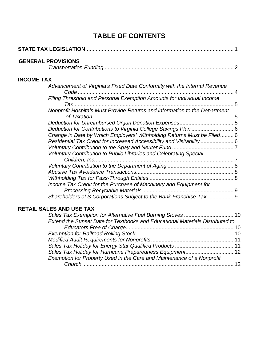## **TABLE OF CONTENTS**

|                   | <b>GENERAL PROVISIONS</b>                                                                                                                                                                                                                                                                 |  |
|-------------------|-------------------------------------------------------------------------------------------------------------------------------------------------------------------------------------------------------------------------------------------------------------------------------------------|--|
| <b>INCOME TAX</b> |                                                                                                                                                                                                                                                                                           |  |
|                   | Advancement of Virginia's Fixed Date Conformity with the Internal Revenue<br>Filing Threshold and Personal Exemption Amounts for Individual Income                                                                                                                                        |  |
|                   | Nonprofit Hospitals Must Provide Returns and information to the Department                                                                                                                                                                                                                |  |
|                   |                                                                                                                                                                                                                                                                                           |  |
|                   | Deduction for Contributions to Virginia College Savings Plan  6<br>Change in Date by Which Employers' Withholding Returns Must be Filed 6<br>Residential Tax Credit for Increased Accessibility and Visitability  6<br>Voluntary Contribution to Public Libraries and Celebrating Special |  |
|                   |                                                                                                                                                                                                                                                                                           |  |
|                   |                                                                                                                                                                                                                                                                                           |  |
|                   | Income Tax Credit for the Purchase of Machinery and Equipment for                                                                                                                                                                                                                         |  |
|                   | Shareholders of S Corporations Subject to the Bank Franchise Tax 9                                                                                                                                                                                                                        |  |

## **RETAIL SALES AND USE TAX**

| Extend the Sunset Date for Textbooks and Educational Materials Distributed to |  |
|-------------------------------------------------------------------------------|--|
|                                                                               |  |
|                                                                               |  |
|                                                                               |  |
|                                                                               |  |
|                                                                               |  |
| Exemption for Property Used in the Care and Maintenance of a Nonprofit        |  |
|                                                                               |  |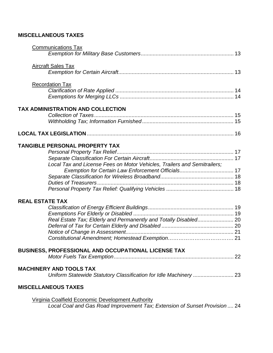## **MISCELLANEOUS TAXES**

|                        | <b>Communications Tax</b>                                                  |
|------------------------|----------------------------------------------------------------------------|
|                        |                                                                            |
|                        | <b>Aircraft Sales Tax</b>                                                  |
|                        | <b>Recordation Tax</b>                                                     |
|                        |                                                                            |
|                        | TAX ADMINISTRATION AND COLLECTION                                          |
|                        |                                                                            |
|                        |                                                                            |
|                        | TANGIBLE PERSONAL PROPERTY TAX                                             |
|                        |                                                                            |
|                        |                                                                            |
|                        | Local Tax and License Fees on Motor Vehicles, Trailers and Semitrailers;   |
|                        |                                                                            |
|                        |                                                                            |
|                        |                                                                            |
| <b>REAL ESTATE TAX</b> |                                                                            |
|                        |                                                                            |
|                        |                                                                            |
|                        | Real Estate Tax; Elderly and Permanently and Totally Disabled 20           |
|                        |                                                                            |
|                        |                                                                            |
|                        |                                                                            |
|                        | <b>BUSINESS, PROFESSIONAL AND OCCUPATIONAL LICENSE TAX</b>                 |
|                        |                                                                            |
|                        | <b>MACHINERY AND TOOLS TAX</b>                                             |
|                        |                                                                            |
|                        | <b>MISCELLANEOUS TAXES</b>                                                 |
|                        | <b>Virginia Coalfield Economic Development Authority</b>                   |
|                        | Local Coal and Gas Road Improvement Tax; Extension of Sunset Provision  24 |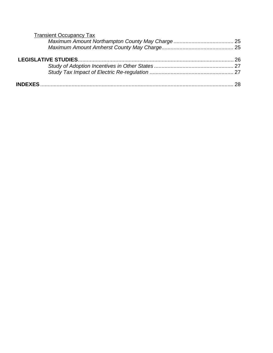| <b>Transient Occupancy Tax</b> |  |
|--------------------------------|--|
|                                |  |
|                                |  |
|                                |  |
|                                |  |
|                                |  |
|                                |  |
|                                |  |
|                                |  |
|                                |  |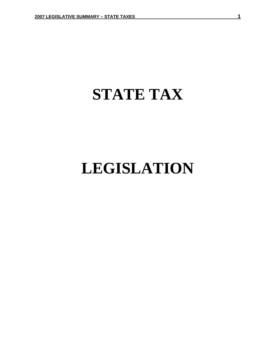## **STATE TAX**

## **LEGISLATION**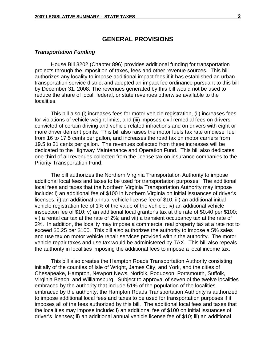## **GENERAL PROVISIONS**

#### *Transportation Funding*

 House Bill 3202 (Chapter 896) provides additional funding for transportation projects through the imposition of taxes, fees and other revenue sources. This bill authorizes any locality to impose additional impact fees if it has established an urban transportation service district and adopted an impact fee ordinance pursuant to this bill by December 31, 2008. The revenues generated by this bill would not be used to reduce the share of local, federal, or state revenues otherwise available to the localities.

 This bill also (i) increases fees for motor vehicle registration, (ii) increases fees for violations of vehicle weight limits, and (iii) imposes civil remedial fees on drivers convicted of certain driving and vehicle related infractions and on drivers with eight or more driver demerit points. This bill also raises the motor fuels tax rate on diesel fuel from 16 to 17.5 cents per gallon, and increases the road tax on motor carriers from 19.5 to 21 cents per gallon. The revenues collected from these increases will be dedicated to the Highway Maintenance and Operation Fund. This bill also dedicates one-third of all revenues collected from the license tax on insurance companies to the Priority Transportation Fund.

The bill authorizes the Northern Virginia Transportation Authority to impose additional local fees and taxes to be used for transportation purposes. The additional local fees and taxes that the Northern Virginia Transportation Authority may impose include: i) an additional fee of \$100 in Northern Virginia on initial issuances of driver's licenses; ii) an additional annual vehicle license fee of \$10; iii) an additional initial vehicle registration fee of 1% of the value of the vehicle; iv) an additional vehicle inspection fee of \$10; v) an additional local grantor's tax at the rate of \$0.40 per \$100; vi) a rental car tax at the rate of 2%; and vii) a transient occupancy tax at the rate of 2%. In addition, the locality may impose a commercial real property tax at a rate not to exceed \$0.25 per \$100. This bill also authorizes the authority to impose a 5% sales and use tax on motor vehicle repair services provided within the authority. The motor vehicle repair taxes and use tax would be administered by TAX. This bill also repeals the authority in localities imposing the additional fees to impose a local income tax.

This bill also creates the Hampton Roads Transportation Authority consisting initially of the counties of Isle of Wright, James City, and York, and the cities of Chesapeake, Hampton, Newport News, Norfolk, Poquoson, Portsmouth, Suffolk, Virginia Beach, and Williamsburg. Subject to approval of seven of the twelve localities embraced by the authority that include 51% of the population of the localities embraced by the authority, the Hampton Roads Transportation Authority is authorized to impose additional local fees and taxes to be used for transportation purposes if it imposes all of the fees authorized by this bill. The additional local fees and taxes that the localities may impose include: i) an additional fee of \$100 on initial issuances of driver's licenses; ii) an additional annual vehicle license fee of \$10; iii) an additional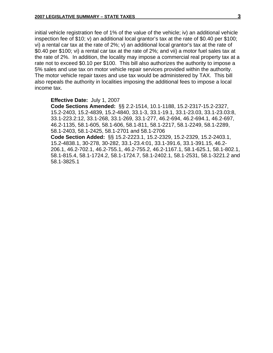initial vehicle registration fee of 1% of the value of the vehicle; iv) an additional vehicle inspection fee of \$10; v) an additional local grantor's tax at the rate of \$0.40 per \$100; vi) a rental car tax at the rate of 2%; v) an additional local grantor's tax at the rate of \$0.40 per \$100; vi) a rental car tax at the rate of 2%; and vii) a motor fuel sales tax at the rate of 2%. In addition, the locality may impose a commercial real property tax at a rate not to exceed \$0.10 per \$100. This bill also authorizes the authority to impose a 5% sales and use tax on motor vehicle repair services provided within the authority. The motor vehicle repair taxes and use tax would be administered by TAX. This bill also repeals the authority in localities imposing the additional fees to impose a local income tax.

#### **Effective Date:** July 1, 2007

**Code Sections Amended:** §§ 2.2-1514, 10.1-1188, 15.2-2317-15.2-2327, 15.2-2403, 15.2-4839, 15.2-4840, 33.1-3, 33.1-19.1, 33.1-23.03, 33.1-23.03:8, 33.1-223.2:12, 33.1-268, 33.1-269, 33.1-277, 46.2-694, 46.2-694.1, 46.2-697, 46.2-1135, 58.1-605, 58.1-606, 58.1-811, 58.1-2217, 58.1-2249, 58.1-2289, 58.1-2403, 58.1-2425, 58.1-2701 and 58.1-2706

**Code Section Added:** §§ 15.2-2223.1, 15.2-2329, 15.2-2329, 15.2-2403.1, 15.2-4838.1, 30-278, 30-282, 33.1-23.4:01, 33.1-391.6, 33.1-391.15, 46.2- 206.1, 46.2-702.1, 46.2-755.1, 46.2-755.2, 46.2-1167.1, 58.1-625.1, 58.1-802.1, 58.1-815.4, 58.1-1724.2, 58.1-1724.7, 58.1-2402.1, 58.1-2531, 58.1-3221.2 and 58.1-3825.1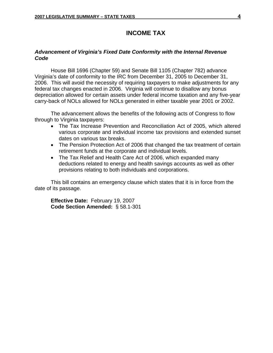## **INCOME TAX**

## *Advancement of Virginia's Fixed Date Conformity with the Internal Revenue Code*

House Bill 1696 (Chapter 59) and Senate Bill 1105 (Chapter 782) advance Virginia's date of conformity to the IRC from December 31, 2005 to December 31, 2006. This will avoid the necessity of requiring taxpayers to make adjustments for any federal tax changes enacted in 2006. Virginia will continue to disallow any bonus depreciation allowed for certain assets under federal income taxation and any five-year carry-back of NOLs allowed for NOLs generated in either taxable year 2001 or 2002.

The advancement allows the benefits of the following acts of Congress to flow through to Virginia taxpayers:

- The Tax Increase Prevention and Reconciliation Act of 2005, which altered various corporate and individual income tax provisions and extended sunset dates on various tax breaks.
- The Pension Protection Act of 2006 that changed the tax treatment of certain retirement funds at the corporate and individual levels.
- The Tax Relief and Health Care Act of 2006, which expanded many deductions related to energy and health savings accounts as well as other provisions relating to both individuals and corporations.

This bill contains an emergency clause which states that it is in force from the date of its passage.

**Effective Date:** February 19, 2007 **Code Section Amended:** § 58.1-301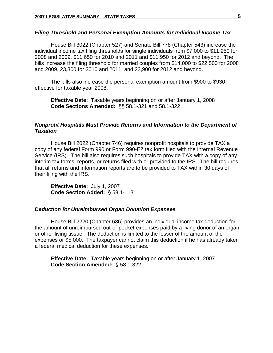#### *Filing Threshold and Personal Exemption Amounts for Individual Income Tax*

House Bill 3022 (Chapter 527) and Senate Bill 778 (Chapter 543) increase the individual income tax filing thresholds for single individuals from \$7,000 to \$11,250 for 2008 and 2009, \$11,650 for 2010 and 2011 and \$11,950 for 2012 and beyond. The bills increase the filing threshold for married couples from \$14,000 to \$22,500 for 2008 and 2009, 23,300 for 2010 and 2011, and 23,900 for 2012 and beyond.

The bills also increase the personal exemption amount from \$900 to \$930 effective for taxable year 2008.

 **Effective Date:** Taxable years beginning on or after January 1, 2008 **Code Sections Amended:** §§ 58.1-321 and 58.1-322

## *Nonprofit Hospitals Must Provide Returns and Information to the Department of Taxation*

House Bill 2022 (Chapter 746) requires nonprofit hospitals to provide TAX a copy of any federal Form 990 or Form 990-EZ tax form filed with the Internal Revenue Service (IRS). The bill also requires such hospitals to provide TAX with a copy of any interim tax forms, reports, or returns filed with or provided to the IRS. The bill requires that all returns and information reports are to be provided to TAX within 30 days of their filing with the IRS.

**Effective Date:** July 1, 2007 **Code Section Added:** § 58.1-113

### *Deduction for Unreimbursed Organ Donation Expenses*

House Bill 2220 (Chapter 636) provides an individual income tax deduction for the amount of unreimbursed out-of-pocket expenses paid by a living donor of an organ or other living tissue. The deduction is limited to the lesser of the amount of the expenses or \$5,000. The taxpayer cannot claim this deduction if he has already taken a federal medical deduction for these expenses.

**Effective Date:** Taxable years beginning on or after January 1, 2007 **Code Section Amended:**§ 58.1-322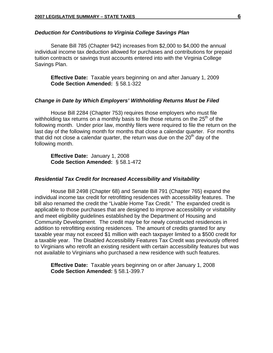## *Deduction for Contributions to Virginia College Savings Plan*

Senate Bill 785 (Chapter 942) increases from \$2,000 to \$4,000 the annual individual income tax deduction allowed for purchases and contributions for prepaid tuition contracts or savings trust accounts entered into with the Virginia College Savings Plan.

**Effective Date:** Taxable years beginning on and after January 1, 2009 **Code Section Amended:** § 58.1-322

## *Change in Date by Which Employers' Withholding Returns Must be Filed*

House Bill 2284 (Chapter 753) requires those employers who must file withholding tax returns on a monthly basis to file those returns on the  $25<sup>th</sup>$  of the following month. Under prior law, monthly filers were required to file the return on the last day of the following month for months that close a calendar quarter. For months that did not close a calendar quarter, the return was due on the  $20<sup>th</sup>$  day of the following month.

**Effective Date:** January 1, 2008 **Code Section Amended:** § 58.1-472

## *Residential Tax Credit for Increased Accessibility and Visitability*

House Bill 2498 (Chapter 68) and Senate Bill 791 (Chapter 765) expand the individual income tax credit for retrofitting residences with accessibility features. The bill also renamed the credit the "Livable Home Tax Credit." The expanded credit is applicable to those purchases that are designed to improve accessibility or visitability and meet eligibility guidelines established by the Department of Housing and Community Development. The credit may be for newly constructed residences in addition to retrofitting existing residences. The amount of credits granted for any taxable year may not exceed \$1 million with each taxpayer limited to a \$500 credit for a taxable year. The Disabled Accessibility Features Tax Credit was previously offered to Virginians who retrofit an existing resident with certain accessibility features but was not available to Virginians who purchased a new residence with such features.

**Effective Date:** Taxable years beginning on or after January 1, 2008 **Code Section Amended:** § 58.1-399.7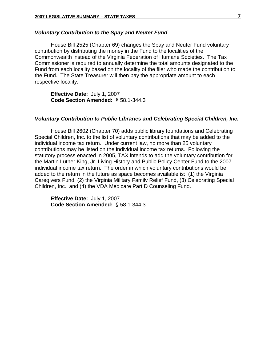#### *Voluntary Contribution to the Spay and Neuter Fund*

House Bill 2525 (Chapter 69) changes the Spay and Neuter Fund voluntary contribution by distributing the money in the Fund to the localities of the Commonwealth instead of the Virginia Federation of Humane Societies. The Tax Commissioner is required to annually determine the total amounts designated to the Fund from each locality based on the locality of the filer who made the contribution to the Fund. The State Treasurer will then pay the appropriate amount to each respective locality.

**Effective Date:** July 1, 2007 **Code Section Amended:** § 58.1-344.3

#### *Voluntary Contribution to Public Libraries and Celebrating Special Children, Inc.*

House Bill 2602 (Chapter 70) adds public library foundations and Celebrating Special Children, Inc. to the list of voluntary contributions that may be added to the individual income tax return. Under current law, no more than 25 voluntary contributions may be listed on the individual income tax returns. Following the statutory process enacted in 2005, TAX intends to add the voluntary contribution for the Martin Luther King, Jr. Living History and Public Policy Center Fund to the 2007 individual income tax return. The order in which voluntary contributions would be added to the return in the future as space becomes available is: (1) the Virginia Caregivers Fund, (2) the Virginia Military Family Relief Fund, (3) Celebrating Special Children, Inc., and (4) the VDA Medicare Part D Counseling Fund.

**Effective Date:** July 1, 2007 **Code Section Amended:** § 58.1-344.3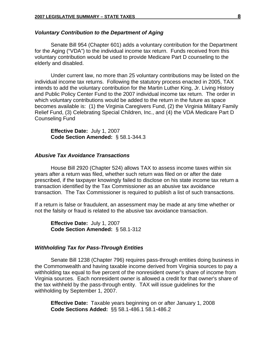### *Voluntary Contribution to the Department of Aging*

Senate Bill 954 (Chapter 601) adds a voluntary contribution for the Department for the Aging ("VDA") to the individual income tax return. Funds received from this voluntary contribution would be used to provide Medicare Part D counseling to the elderly and disabled.

Under current law, no more than 25 voluntary contributions may be listed on the individual income tax returns. Following the statutory process enacted in 2005, TAX intends to add the voluntary contribution for the Martin Luther King, Jr. Living History and Public Policy Center Fund to the 2007 individual income tax return. The order in which voluntary contributions would be added to the return in the future as space becomes available is: (1) the Virginia Caregivers Fund, (2) the Virginia Military Family Relief Fund, (3) Celebrating Special Children, Inc., and (4) the VDA Medicare Part D Counseling Fund

**Effective Date:** July 1, 2007 **Code Section Amended:** § 58.1-344.3

## *Abusive Tax Avoidance Transactions*

 House Bill 2920 (Chapter 524) allows TAX to assess income taxes within six years after a return was filed, whether such return was filed on or after the date prescribed, if the taxpayer knowingly failed to disclose on his state income tax return a transaction identified by the Tax Commissioner as an abusive tax avoidance transaction. The Tax Commissioner is required to publish a list of such transactions.

If a return is false or fraudulent, an assessment may be made at any time whether or not the falsity or fraud is related to the abusive tax avoidance transaction.

**Effective Date:** July 1, 2007 **Code Section Amended:** § 58.1-312

#### *Withholding Tax for Pass-Through Entities*

Senate Bill 1238 (Chapter 796) requires pass-through entities doing business in the Commonwealth and having taxable income derived from Virginia sources to pay a withholding tax equal to five percent of the nonresident owner's share of income from Virginia sources. Each nonresident owner is allowed a credit for that owner's share of the tax withheld by the pass-through entity. TAX will issue guidelines for the withholding by September 1, 2007.

**Effective Date:** Taxable years beginning on or after January 1, 2008 **Code Sections Added:**§§ 58.1-486.1 58.1-486.2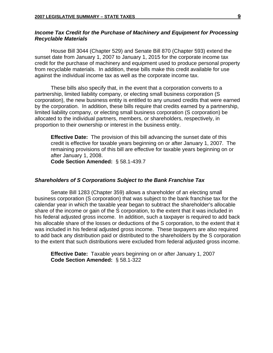## *Income Tax Credit for the Purchase of Machinery and Equipment for Processing Recyclable Materials*

House Bill 3044 (Chapter 529) and Senate Bill 870 (Chapter 593) extend the sunset date from January 1, 2007 to January 1, 2015 for the corporate income tax credit for the purchase of machinery and equipment used to produce personal property from recyclable materials. In addition, these bills make this credit available for use against the individual income tax as well as the corporate income tax.

 These bills also specify that, in the event that a corporation converts to a partnership, limited liability company, or electing small business corporation (S corporation), the new business entity is entitled to any unused credits that were earned by the corporation. In addition, these bills require that credits earned by a partnership, limited liability company, or electing small business corporation (S corporation) be allocated to the individual partners, members, or shareholders, respectively, in proportion to their ownership or interest in the business entity.

**Effective Date:** The provision of this bill advancing the sunset date of this credit is effective for taxable years beginning on or after January 1, 2007. The remaining provisions of this bill are effective for taxable years beginning on or after January 1, 2008.

**Code Section Amended:** § 58.1-439.7

### *Shareholders of S Corporations Subject to the Bank Franchise Tax*

 Senate Bill 1283 (Chapter 359) allows a shareholder of an electing small business corporation (S corporation) that was subject to the bank franchise tax for the calendar year in which the taxable year began to subtract the shareholder's allocable share of the income or gain of the S corporation, to the extent that it was included in his federal adjusted gross income. In addition, such a taxpayer is required to add back his allocable share of the losses or deductions of the S corporation, to the extent that it was included in his federal adjusted gross income. These taxpayers are also required to add back any distribution paid or distributed to the shareholders by the S corporation to the extent that such distributions were excluded from federal adjusted gross income.

**Effective Date:** Taxable years beginning on or after January 1, 2007 **Code Section Amended:** § 58.1-322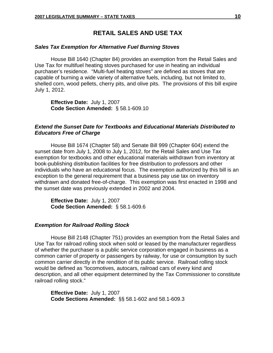## **RETAIL SALES AND USE TAX**

#### *Sales Tax Exemption for Alternative Fuel Burning Stoves*

House Bill 1640 (Chapter 84) provides an exemption from the Retail Sales and Use Tax for multifuel heating stoves purchased for use in heating an individual purchaser's residence. "Multi-fuel heating stoves" are defined as stoves that are capable of burning a wide variety of alternative fuels, including, but not limited to, shelled corn, wood pellets, cherry pits, and olive pits. The provisions of this bill expire July 1, 2012.

**Effective Date:** July 1, 2007  **Code Section Amended:** § 58.1-609.10

## *Extend the Sunset Date for Textbooks and Educational Materials Distributed to Educators Free of Charge*

House Bill 1674 (Chapter 58) and Senate Bill 999 (Chapter 604) extend the sunset date from July 1, 2008 to July 1, 2012, for the Retail Sales and Use Tax exemption for textbooks and other educational materials withdrawn from inventory at book-publishing distribution facilities for free distribution to professors and other individuals who have an educational focus. The exemption authorized by this bill is an exception to the general requirement that a business pay use tax on inventory withdrawn and donated free-of-charge. This exemption was first enacted in 1998 and the sunset date was previously extended in 2002 and 2004.

**Effective Date:** July 1, 2007 **Code Section Amended:** § 58.1-609.6

### *Exemption for Railroad Rolling Stock*

House Bill 2148 (Chapter 751) provides an exemption from the Retail Sales and Use Tax for railroad rolling stock when sold or leased by the manufacturer regardless of whether the purchaser is a public service corporation engaged in business as a common carrier of property or passengers by railway, for use or consumption by such common carrier directly in the rendition of its public service. Railroad rolling stock would be defined as "locomotives, autocars, railroad cars of every kind and description, and all other equipment determined by the Tax Commissioner to constitute railroad rolling stock."

**Effective Date:** July 1, 2007 **Code Sections Amended:**§§ 58.1-602 and 58.1-609.3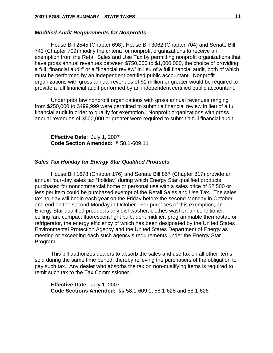#### *Modified Audit Requirements for Nonprofits*

House Bill 2545 (Chapter 698), House Bill 3062 (Chapter 704) and Senate Bill 743 (Chapter 709) modify the criteria for nonprofit organizations to receive an exemption from the Retail Sales and Use Tax by permitting nonprofit organizations that have gross annual revenues between \$750,000 to \$1,000,000, the choice of providing a full "financial audit" or a "financial review" in lieu of a full financial audit, both of which must be performed by an independent certified public accountant. Nonprofit organizations with gross annual revenues of \$1 million or greater would be required to provide a full financial audit performed by an independent certified public accountant.

Under prior law nonprofit organizations with gross annual revenues ranging from \$250,000 to \$499,999 were permitted to submit a financial review in lieu of a full financial audit in order to qualify for exemption. Nonprofit organizations with gross annual revenues of \$500,000 or greater were required to submit a full financial audit.

**Effective Date:** July 1, 2007 **Code Section Amended:** § 58.1-609.11

## *Sales Tax Holiday for Energy Star Qualified Products*

House Bill 1678 (Chapter 176) and Senate Bill 867 (Chapter 817) provide an annual four-day sales tax "holiday" during which Energy Star qualified products purchased for noncommercial home or personal use with a sales price of \$2,500 or less per item could be purchased exempt of the Retail Sales and Use Tax. The sales tax holiday will begin each year on the Friday before the second Monday in October and end on the second Monday in October. For purposes of this exemption, an Energy Star qualified product is any dishwasher, clothes washer, air conditioner, ceiling fan, compact fluorescent light bulb, dehumidifier, programmable thermostat, or refrigerator, the energy efficiency of which has been designated by the United States Environmental Protection Agency and the United States Department of Energy as meeting or exceeding each such agency's requirements under the Energy Star Program.

This bill authorizes dealers to absorb the sales and use tax on all other items sold during the same time period, thereby relieving the purchasers of the obligation to pay such tax. Any dealer who absorbs the tax on non-qualifying items is required to remit such tax to the Tax Commissioner.

**Effective Date:** July 1, 2007 **Code Sections Amended:** §§ 58.1-609.1, 58.1-625 and 58.1-626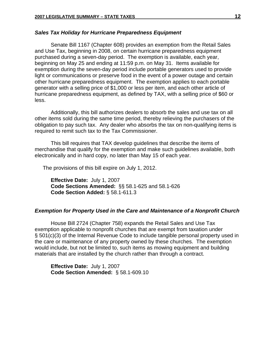#### *Sales Tax Holiday for Hurricane Preparedness Equipment*

 Senate Bill 1167 (Chapter 608) provides an exemption from the Retail Sales and Use Tax, beginning in 2008, on certain hurricane preparedness equipment purchased during a seven-day period. The exemption is available, each year, beginning on May 25 and ending at 11:59 p.m. on May 31. Items available for exemption during the seven-day period include portable generators used to provide light or communications or preserve food in the event of a power outage and certain other hurricane preparedness equipment. The exemption applies to each portable generator with a selling price of \$1,000 or less per item, and each other article of hurricane preparedness equipment, as defined by TAX, with a selling price of \$60 or less.

Additionally, this bill authorizes dealers to absorb the sales and use tax on all other items sold during the same time period, thereby relieving the purchasers of the obligation to pay such tax. Any dealer who absorbs the tax on non-qualifying items is required to remit such tax to the Tax Commissioner.

This bill requires that TAX develop guidelines that describe the items of merchandise that qualify for the exemption and make such guidelines available, both electronically and in hard copy, no later than May 15 of each year.

The provisions of this bill expire on July 1, 2012.

**Effective Date:** July 1, 2007 **Code Sections Amended:** §§ 58.1-625 and 58.1-626 **Code Section Added:** § 58.1-611.3

#### *Exemption for Property Used in the Care and Maintenance of a Nonprofit Church*

House Bill 2724 (Chapter 758) expands the Retail Sales and Use Tax exemption applicable to nonprofit churches that are exempt from taxation under § 501(c)(3) of the Internal Revenue Code to include tangible personal property used in the care or maintenance of any property owned by these churches. The exemption would include, but not be limited to, such items as mowing equipment and building materials that are installed by the church rather than through a contract.

**Effective Date:** July 1, 2007 **Code Section Amended:** § 58.1-609.10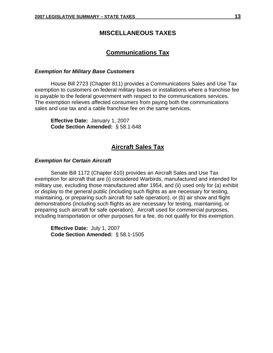## **MISCELLANEOUS TAXES**

## **Communications Tax**

## *Exemption for Military Base Customers*

House Bill 2723 (Chapter 811) provides a Communications Sales and Use Tax exemption to customers on federal military bases or installations where a franchise fee is payable to the federal government with respect to the communications services. The exemption relieves affected consumers from paying both the communications sales and use tax and a cable franchise fee on the same services.

**Effective Date:** January 1, 2007 **Code Section Amended:** § 58.1-648

## **Aircraft Sales Tax**

## *Exemption for Certain Aircraft*

 Senate Bill 1172 (Chapter 610) provides an Aircraft Sales and Use Tax exemption for aircraft that are (i) considered Warbirds, manufactured and intended for military use, excluding those manufactured after 1954, and (ii) used only for (a) exhibit or display to the general public (including such flights as are necessary for testing, maintaining, or preparing such aircraft for safe operation), or (b) air show and flight demonstrations (including such flights as are necessary for testing, maintaining, or preparing such aircraft for safe operation). Aircraft used for commercial purposes, including transportation or other purposes for a fee, do not qualify for this exemption.

**Effective Date:** July 1, 2007 **Code Section Amended:** § 58.1-1505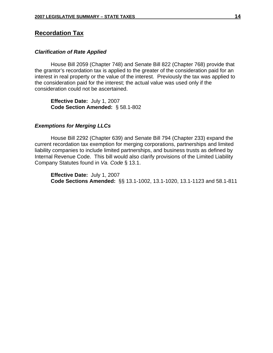## **Recordation Tax**

## *Clarification of Rate Applied*

House Bill 2059 (Chapter 748) and Senate Bill 822 (Chapter 768) provide that the grantor's recordation tax is applied to the greater of the consideration paid for an interest in real property or the value of the interest. Previously the tax was applied to the consideration paid for the interest; the actual value was used only if the consideration could not be ascertained.

**Effective Date:** July 1, 2007 **Code Section Amended:** § 58.1-802

## *Exemptions for Merging LLCs*

House Bill 2292 (Chapter 639) and Senate Bill 794 (Chapter 233) expand the current recordation tax exemption for merging corporations, partnerships and limited liability companies to include limited partnerships, and business trusts as defined by Internal Revenue Code. This bill would also clarify provisions of the Limited Liability Company Statutes found in *Va. Code* § 13.1.

**Effective Date:** July 1, 2007 **Code Sections Amended:** §§ 13.1-1002, 13.1-1020, 13.1-1123 and 58.1-811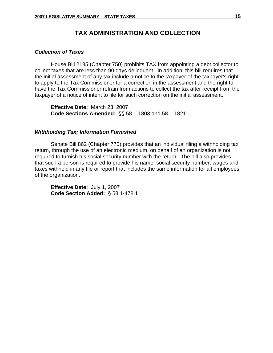## **TAX ADMINISTRATION AND COLLECTION**

## *Collection of Taxes*

House Bill 2135 (Chapter 750) prohibits TAX from appointing a debt collector to collect taxes that are less than 90 days delinquent. In addition, this bill requires that the initial assessment of any tax include a notice to the taxpayer of the taxpayer's right to apply to the Tax Commissioner for a correction in the assessment and the right to have the Tax Commissioner refrain from actions to collect the tax after receipt from the taxpayer of a notice of intent to file for such correction on the initial assessment.

**Effective Date:** March 23, 2007 **Code Sections Amended:** §§ 58.1-1803 and 58.1-1821

#### *Withholding Tax; Information Furnished*

Senate Bill 862 (Chapter 770) provides that an individual filing a withholding tax return, through the use of an electronic medium, on behalf of an organization is not required to furnish his social security number with the return. The bill also provides that such a person is required to provide his name, social security number, wages and taxes withheld in any file or report that includes the same information for all employees of the organization.

**Effective Date:** July 1, 2007 **Code Section Added:** § 58.1-478.1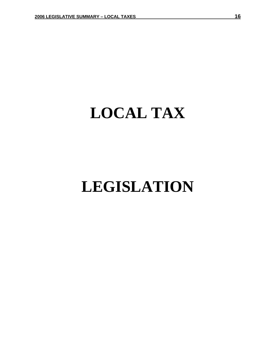## **LOCAL TAX**

## **LEGISLATION**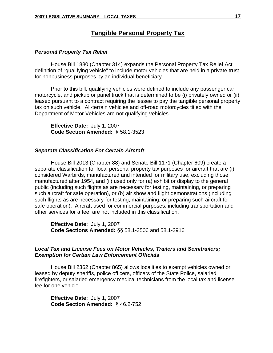## **Tangible Personal Property Tax**

## *Personal Property Tax Relief*

House Bill 1880 (Chapter 314) expands the Personal Property Tax Relief Act definition of "qualifying vehicle" to include motor vehicles that are held in a private trust for nonbusiness purposes by an individual beneficiary.

Prior to this bill, qualifying vehicles were defined to include any passenger car, motorcycle, and pickup or panel truck that is determined to be (i) privately owned or (ii) leased pursuant to a contract requiring the lessee to pay the tangible personal property tax on such vehicle. All-terrain vehicles and off-road motorcycles titled with the Department of Motor Vehicles are not qualifying vehicles.

**Effective Date:** July 1, 2007 **Code Section Amended:** § 58.1-3523

## *Separate Classification For Certain Aircraft*

House Bill 2013 (Chapter 88) and Senate Bill 1171 (Chapter 609) create a separate classification for local personal property tax purposes for aircraft that are (i) considered Warbirds, manufactured and intended for military use, excluding those manufactured after 1954, and (ii) used only for (a) exhibit or display to the general public (including such flights as are necessary for testing, maintaining, or preparing such aircraft for safe operation), or (b) air show and flight demonstrations (including such flights as are necessary for testing, maintaining, or preparing such aircraft for safe operation). Aircraft used for commercial purposes, including transportation and other services for a fee, are not included in this classification.

**Effective Date:** July 1, 2007  **Code Sections Amended:** §§ 58.1-3506 and 58.1-3916

## *Local Tax and License Fees on Motor Vehicles, Trailers and Semitrailers; Exemption for Certain Law Enforcement Officials*

 House Bill 2362 (Chapter 865) allows localities to exempt vehicles owned or leased by deputy sheriffs, police officers, officers of the State Police, salaried firefighters, or salaried emergency medical technicians from the local tax and license fee for one vehicle.

**Effective Date:** July 1, 2007 **Code Section Amended:** § 46.2-752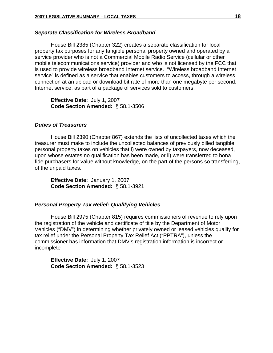#### *Separate Classification for Wireless Broadband*

House Bill 2385 (Chapter 322) creates a separate classification for local property tax purposes for any tangible personal property owned and operated by a service provider who is not a Commercial Mobile Radio Service (cellular or other mobile telecommunications service) provider and who is not licensed by the FCC that is used to provide wireless broadband Internet service. "Wireless broadband Internet service" is defined as a service that enables customers to access, through a wireless connection at an upload or download bit rate of more than one megabyte per second, Internet service, as part of a package of services sold to customers.

**Effective Date:** July 1, 2007 **Code Section Amended:** § 58.1-3506

## *Duties of Treasurers*

House Bill 2390 (Chapter 867) extends the lists of uncollected taxes which the treasurer must make to include the uncollected balances of previously billed tangible personal property taxes on vehicles that i) were owned by taxpayers, now deceased, upon whose estates no qualification has been made, or ii) were transferred to bona fide purchasers for value without knowledge, on the part of the persons so transferring, of the unpaid taxes.

**Effective Date:** January 1, 2007 **Code Section Amended:** § 58.1-3921

#### *Personal Property Tax Relief: Qualifying Vehicles*

House Bill 2975 (Chapter 815) requires commissioners of revenue to rely upon the registration of the vehicle and certificate of title by the Department of Motor Vehicles ("DMV") in determining whether privately owned or leased vehicles qualify for tax relief under the Personal Property Tax Relief Act ("PPTRA"), unless the commissioner has information that DMV's registration information is incorrect or incomplete

**Effective Date:** July 1, 2007  **Code Section Amended:** § 58.1-3523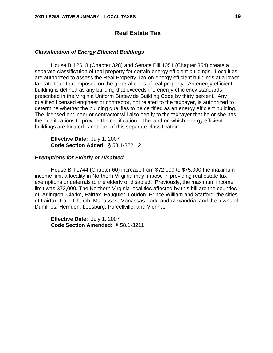## **Real Estate Tax**

## *Classification of Energy Efficient Buildings*

House Bill 2618 (Chapter 328) and Senate Bill 1051 (Chapter 354) create a separate classification of real property for certain energy efficient buildings. Localities are authorized to assess the Real Property Tax on energy efficient buildings at a lower tax rate than that imposed on the general class of real property. An energy efficient building is defined as any building that exceeds the energy efficiency standards prescribed in the Virginia Uniform Statewide Building Code by thirty percent. Any qualified licensed engineer or contractor, not related to the taxpayer, is authorized to determine whether the building qualifies to be certified as an energy efficient building. The licensed engineer or contractor will also certify to the taxpayer that he or she has the qualifications to provide the certification. The land on which energy efficient buildings are located is not part of this separate classification.

**Effective Date:** July 1, 2007 **Code Section Added:** § 58.1-3221.2

#### *Exemptions for Elderly or Disabled*

 House Bill 1744 (Chapter 60) increase from \$72,000 to \$75,000 the maximum income limit a locality in Northern Virginia may impose in providing real estate tax exemptions or deferrals to the elderly or disabled. Previously, the maximum income limit was \$72,000. The Northern Virginia localities affected by this bill are the counties of: Arlington, Clarke, Fairfax, Fauquier, Loudon, Prince William and Stafford; the cities of Fairfax, Falls Church, Manassas, Manassas Park, and Alexandria, and the towns of Dumfries, Herndon, Leesburg, Purcellville, and Vienna.

**Effective Date:** July 1, 2007  **Code Section Amended:**§ 58.1-3211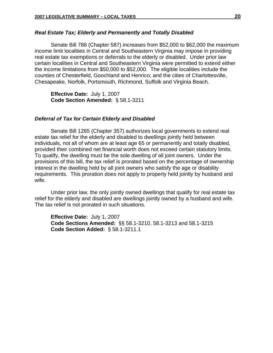## *Real Estate Tax; Elderly and Permanently and Totally Disabled*

 Senate Bill 788 (Chapter 587) increases from \$52,000 to \$62,000 the maximum income limit localities in Central and Southeastern Virginia may impose in providing real estate tax exemptions or deferrals to the elderly or disabled. Under prior law certain localities in Central and Southeastern Virginia were permitted to extend either the income limitations from \$50,000 to \$52,000. The eligible localities include the counties of Chesterfield, Goochland and Henrico; and the cities of Charlottesville, Chesapeake, Norfolk, Portsmouth, Richmond, Suffolk and Virginia Beach.

**Effective Date:** July 1, 2007 **Code Section Amended:** § 58.1-3211

#### *Deferral of Tax for Certain Elderly and Disabled*

 Senate Bill 1265 (Chapter 357) authorizes local governments to extend real estate tax relief for the elderly and disabled to dwellings jointly held between individuals, not all of whom are at least age 65 or permanently and totally disabled, provided their combined net financial worth does not exceed certain statutory limits. To qualify, the dwelling must be the sole dwelling of all joint owners. Under the provisions of this bill, the tax relief is prorated based on the percentage of ownership interest in the dwelling held by all joint owners who satisfy the age or disability requirements. This proration does not apply to property held jointly by husband and wife.

 Under prior law, the only jointly owned dwellings that qualify for real estate tax relief for the elderly and disabled are dwellings jointly owned by a husband and wife. The tax relief is not prorated in such situations.

**Effective Date:** July 1, 2007 **Code Sections Amended:** §§ 58.1-3210, 58.1-3213 and 58.1-3215 **Code Section Added:** § 58.1-3211.1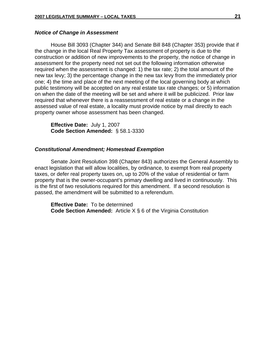### *Notice of Change in Assessment*

 House Bill 3093 (Chapter 344) and Senate Bill 848 (Chapter 353) provide that if the change in the local Real Property Tax assessment of property is due to the construction or addition of new improvements to the property, the notice of change in assessment for the property need not set out the following information otherwise required when the assessment is changed: 1) the tax rate; 2) the total amount of the new tax levy; 3) the percentage change in the new tax levy from the immediately prior one; 4) the time and place of the next meeting of the local governing body at which public testimony will be accepted on any real estate tax rate changes; or 5) information on when the date of the meeting will be set and where it will be publicized. Prior law required that whenever there is a reassessment of real estate or a change in the assessed value of real estate, a locality must provide notice by mail directly to each property owner whose assessment has been changed.

**Effective Date:** July 1, 2007 **Code Section Amended:** § 58.1-3330

### *Constitutional Amendment; Homestead Exemption*

Senate Joint Resolution 398 (Chapter 843) authorizes the General Assembly to enact legislation that will allow localities, by ordinance, to exempt from real property taxes, or defer real property taxes on, up to 20% of the value of residential or farm property that is the owner-occupant's primary dwelling and lived in continuously. This is the first of two resolutions required for this amendment. If a second resolution is passed, the amendment will be submitted to a referendum.

**Effective Date:** To be determined **Code Section Amended:** Article X § 6 of the Virginia Constitution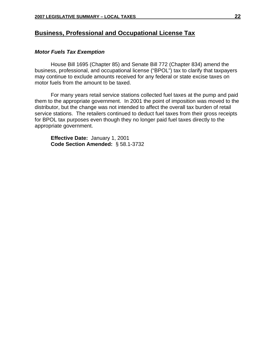## **Business, Professional and Occupational License Tax**

## *Motor Fuels Tax Exemption*

 House Bill 1695 (Chapter 85) and Senate Bill 772 (Chapter 834) amend the business, professional, and occupational license ("BPOL") tax to clarify that taxpayers may continue to exclude amounts received for any federal or state excise taxes on motor fuels from the amount to be taxed.

 For many years retail service stations collected fuel taxes at the pump and paid them to the appropriate government. In 2001 the point of imposition was moved to the distributor, but the change was not intended to affect the overall tax burden of retail service stations. The retailers continued to deduct fuel taxes from their gross receipts for BPOL tax purposes even though they no longer paid fuel taxes directly to the appropriate government.

**Effective Date:** January 1, 2001 **Code Section Amended:** § 58.1-3732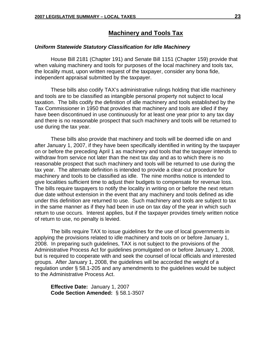## **Machinery and Tools Tax**

## *Uniform Statewide Statutory Classification for Idle Machinery*

House Bill 2181 (Chapter 191) and Senate Bill 1151 (Chapter 159) provide that when valuing machinery and tools for purposes of the local machinery and tools tax, the locality must, upon written request of the taxpayer, consider any bona fide, independent appraisal submitted by the taxpayer.

These bills also codify TAX's administrative rulings holding that idle machinery and tools are to be classified as intangible personal property not subject to local taxation. The bills codify the definition of idle machinery and tools established by the Tax Commissioner in 1950 that provides that machinery and tools are idled if they have been discontinued in use continuously for at least one year prior to any tax day and there is no reasonable prospect that such machinery and tools will be returned to use during the tax year.

These bills also provide that machinery and tools will be deemed idle on and after January 1, 2007, if they have been specifically identified in writing by the taxpayer on or before the preceding April 1 as machinery and tools that the taxpayer intends to withdraw from service not later than the next tax day and as to which there is no reasonable prospect that such machinery and tools will be returned to use during the tax year. The alternate definition is intended to provide a clear-cut procedure for machinery and tools to be classified as idle. The nine months notice is intended to give localities sufficient time to adjust their budgets to compensate for revenue loss. The bills require taxpayers to notify the locality in writing on or before the next return due date without extension in the event that any machinery and tools defined as idle under this definition are returned to use. Such machinery and tools are subject to tax in the same manner as if they had been in use on tax day of the year in which such return to use occurs. Interest applies, but if the taxpayer provides timely written notice of return to use, no penalty is levied.

The bills require TAX to issue guidelines for the use of local governments in applying the provisions related to idle machinery and tools on or before January 1, 2008. In preparing such guidelines, TAX is not subject to the provisions of the Administrative Process Act for guidelines promulgated on or before January 1, 2008, but is required to cooperate with and seek the counsel of local officials and interested groups. After January 1, 2008, the guidelines will be accorded the weight of a regulation under § 58.1-205 and any amendments to the guidelines would be subject to the Administrative Process Act.

**Effective Date:** January 1, 2007 **Code Section Amended:** § 58.1-3507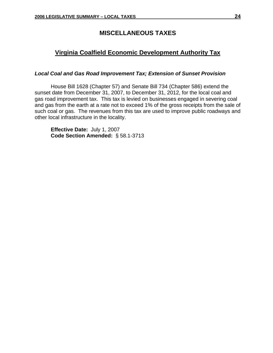## **MISCELLANEOUS TAXES**

## **Virginia Coalfield Economic Development Authority Tax**

## *Local Coal and Gas Road Improvement Tax; Extension of Sunset Provision*

House Bill 1628 (Chapter 57) and Senate Bill 734 (Chapter 586) extend the sunset date from December 31, 2007, to December 31, 2012, for the local coal and gas road improvement tax. This tax is levied on businesses engaged in severing coal and gas from the earth at a rate not to exceed 1% of the gross receipts from the sale of such coal or gas. The revenues from this tax are used to improve public roadways and other local infrastructure in the locality.

**Effective Date:** July 1, 2007 **Code Section Amended:** § 58.1-3713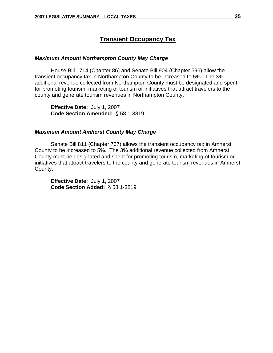## **Transient Occupancy Tax**

## *Maximum Amount Northampton County May Charge*

House Bill 1714 (Chapter 86) and Senate Bill 904 (Chapter 596) allow the transient occupancy tax in Northampton County to be increased to 5%. The 3% additional revenue collected from Northampton County must be designated and spent for promoting tourism, marketing of tourism or initiatives that attract travelers to the county and generate tourism revenues in Northampton County.

 **Effective Date:** July 1, 2007 **Code Section Amended:** § 58.1-3819

#### *Maximum Amount Amherst County May Charge*

Senate Bill 811 (Chapter 767) allows the transient occupancy tax in Amherst County to be increased to 5%. The 3% additional revenue collected from Amherst County must be designated and spent for promoting tourism, marketing of tourism or initiatives that attract travelers to the county and generate tourism revenues in Amherst County.

**Effective Date:** July 1, 2007 **Code Section Added:** § 58.1-3819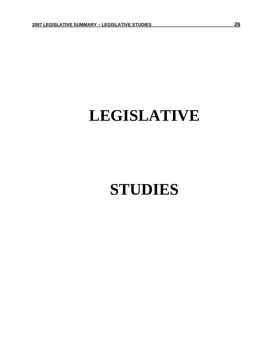## **LEGISLATIVE**

## **STUDIES**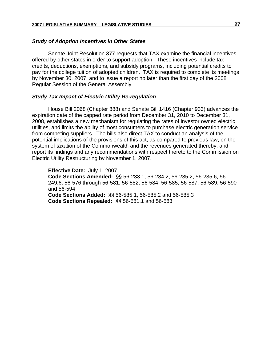### *Study of Adoption Incentives in Other States*

 Senate Joint Resolution 377 requests that TAX examine the financial incentives offered by other states in order to support adoption. These incentives include tax credits, deductions, exemptions, and subsidy programs, including potential credits to pay for the college tuition of adopted children. TAX is required to complete its meetings by November 30, 2007, and to issue a report no later than the first day of the 2008 Regular Session of the General Assembly

## *Study Tax Impact of Electric Utility Re-regulation*

 House Bill 2068 (Chapter 888) and Senate Bill 1416 (Chapter 933) advances the expiration date of the capped rate period from December 31, 2010 to December 31, 2008, establishes a new mechanism for regulating the rates of investor owned electric utilities, and limits the ability of most consumers to purchase electric generation service from competing suppliers. The bills also direct TAX to conduct an analysis of the potential implications of the provisions of this act, as compared to previous law, on the system of taxation of the Commonwealth and the revenues generated thereby, and report its findings and any recommendations with respect thereto to the Commission on Electric Utility Restructuring by November 1, 2007.

**Effective Date:** July 1, 2007 **Code Sections Amended:** §§ 56-233.1, 56-234.2, 56-235.2, 56-235.6, 56- 249.6, 56-576 through 56-581, 56-582, 56-584, 56-585, 56-587, 56-589, 56-590 and 56-594 **Code Sections Added:** §§ 56-585.1, 56-585.2 and 56-585.3 **Code Sections Repealed:** §§ 56-581.1 and 56-583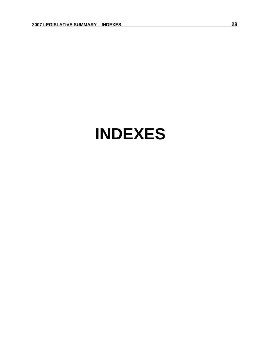## **INDEXES**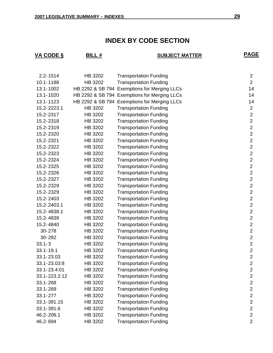## **INDEX BY CODE SECTION**

| <b>VA CODE §</b><br><b>BILL#</b> |         | <b>SUBJECT MATTER</b>                        | <b>PAGE</b>      |
|----------------------------------|---------|----------------------------------------------|------------------|
|                                  |         |                                              |                  |
| $2.2 - 1514$                     | HB 3202 | <b>Transportation Funding</b>                | $\overline{c}$   |
| 10.1-1188                        | HB 3202 | <b>Transportation Funding</b>                | $\overline{2}$   |
| 13.1-1002                        |         | HB 2292 & SB 794 Exemptions for Merging LLCs | 14               |
| 13.1-1020                        |         | HB 2292 & SB 794 Exemptions for Merging LLCs | 14               |
| 13.1-1123                        |         | HB 2292 & SB 794 Exemptions for Merging LLCs | 14               |
| 15.2-2223.1                      | HB 3202 | <b>Transportation Funding</b>                | $\mathbf 2$      |
| 15.2-2317                        | HB 3202 | <b>Transportation Funding</b>                | $\overline{2}$   |
| 15.2-2318                        | HB 3202 | <b>Transportation Funding</b>                | $\overline{2}$   |
| 15.2-2319                        | HB 3202 | <b>Transportation Funding</b>                | $\overline{2}$   |
| 15.2-2320                        | HB 3202 | <b>Transportation Funding</b>                | $\overline{2}$   |
| 15.2-2321                        | HB 3202 | <b>Transportation Funding</b>                | $\overline{2}$   |
| 15.2-2322                        | HB 3202 | <b>Transportation Funding</b>                | $\overline{2}$   |
| 15.2-2323                        | HB 3202 | <b>Transportation Funding</b>                | $\overline{2}$   |
| 15.2-2324                        | HB 3202 | <b>Transportation Funding</b>                | $\mathbf 2$      |
| 15.2-2325                        | HB 3202 | <b>Transportation Funding</b>                | $\overline{2}$   |
| 15.2-2326                        | HB 3202 | <b>Transportation Funding</b>                | $\overline{2}$   |
| 15.2-2327                        | HB 3202 | <b>Transportation Funding</b>                | $\overline{2}$   |
| 15.2-2329                        | HB 3202 | <b>Transportation Funding</b>                | $\overline{c}$   |
| 15.2-2329                        | HB 3202 | <b>Transportation Funding</b>                | $\overline{2}$   |
| 15.2-2403                        | HB 3202 | <b>Transportation Funding</b>                | $\overline{2}$   |
| 15.2-2403.1                      | HB 3202 | <b>Transportation Funding</b>                | $\overline{2}$   |
| 15.2-4838.1                      | HB 3202 | <b>Transportation Funding</b>                | $\overline{2}$   |
| 15.2-4839                        | HB 3202 | <b>Transportation Funding</b>                | $\mathbf 2$      |
| 15.2-4840                        | HB 3202 | <b>Transportation Funding</b>                | $\overline{2}$   |
| 30-278                           | HB 3202 | <b>Transportation Funding</b>                | $\mathbf 2$      |
| 30-282                           | HB 3202 | <b>Transportation Funding</b>                | $\overline{2}$   |
| $33.1 - 3$                       | HB 3202 | <b>Transportation Funding</b>                | $\overline{2}$   |
| 33.1-19.1                        | HB 3202 | <b>Transportation Funding</b>                | $\mathbf 2$      |
| 33.1-23.03                       | HB 3202 | <b>Transportation Funding</b>                | $\boldsymbol{2}$ |
| 33.1-23.03:8                     | HB 3202 | <b>Transportation Funding</b>                | $\mathbf 2$      |
| 33.1-23.4:01                     | HB 3202 | <b>Transportation Funding</b>                | $\boldsymbol{2}$ |
| 33.1-223.2:12                    | HB 3202 | <b>Transportation Funding</b>                | $\mathbf 2$      |
| 33.1-268                         | HB 3202 | <b>Transportation Funding</b>                | $\overline{c}$   |
| 33.1-269                         | HB 3202 | <b>Transportation Funding</b>                | $\overline{2}$   |
| 33.1-277                         | HB 3202 | <b>Transportation Funding</b>                | $\overline{c}$   |
| 33.1-391.15                      | HB 3202 | <b>Transportation Funding</b>                | $\overline{c}$   |
| 33.1-391.6                       | HB 3202 | <b>Transportation Funding</b>                | $\overline{2}$   |
| 46.2-206.1                       | HB 3202 | <b>Transportation Funding</b>                | $\mathbf 2$      |
| 46.2-694                         | HB 3202 | <b>Transportation Funding</b>                | $\overline{2}$   |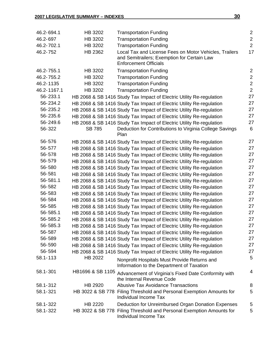| 46.2-694.1  | HB 3202          | <b>Transportation Funding</b>                                                                                                         | $\overline{2}$ |
|-------------|------------------|---------------------------------------------------------------------------------------------------------------------------------------|----------------|
| 46.2-697    | HB 3202          | <b>Transportation Funding</b>                                                                                                         | $\overline{2}$ |
| 46.2-702.1  | HB 3202          | <b>Transportation Funding</b>                                                                                                         | $\overline{2}$ |
| 46.2-752    | HB 2362          | Local Tax and License Fees on Motor Vehicles, Trailers<br>and Semitrailers; Exemption for Certain Law<br><b>Enforcement Officials</b> | 17             |
| 46.2-755.1  | HB 3202          | <b>Transportation Funding</b>                                                                                                         | $\overline{2}$ |
| 46.2-755.2  | HB 3202          | <b>Transportation Funding</b>                                                                                                         | $\overline{2}$ |
| 46.2-1135   | HB 3202          | <b>Transportation Funding</b>                                                                                                         | $\overline{2}$ |
| 46.2-1167.1 | HB 3202          | <b>Transportation Funding</b>                                                                                                         | $\overline{2}$ |
| 56-233.1    |                  | HB 2068 & SB 1416 Study Tax Impact of Electric Utility Re-regulation                                                                  | 27             |
| 56-234.2    |                  | HB 2068 & SB 1416 Study Tax Impact of Electric Utility Re-regulation                                                                  | 27             |
| 56-235.2    |                  | HB 2068 & SB 1416 Study Tax Impact of Electric Utility Re-regulation                                                                  | 27             |
| 56-235.6    |                  | HB 2068 & SB 1416 Study Tax Impact of Electric Utility Re-regulation                                                                  | 27             |
| 56-249.6    |                  | HB 2068 & SB 1416 Study Tax Impact of Electric Utility Re-regulation                                                                  | 27             |
| 56-322      | <b>SB 785</b>    | Deduction for Contributions to Virginia College Savings<br>Plan                                                                       | 6              |
| 56-576      |                  | HB 2068 & SB 1416 Study Tax Impact of Electric Utility Re-regulation                                                                  | 27             |
| 56-577      |                  | HB 2068 & SB 1416 Study Tax Impact of Electric Utility Re-regulation                                                                  | 27             |
| 56-578      |                  | HB 2068 & SB 1416 Study Tax Impact of Electric Utility Re-regulation                                                                  | 27             |
| 56-579      |                  | HB 2068 & SB 1416 Study Tax Impact of Electric Utility Re-regulation                                                                  | 27             |
| 56-580      |                  | HB 2068 & SB 1416 Study Tax Impact of Electric Utility Re-regulation                                                                  | 27             |
| 56-581      |                  | HB 2068 & SB 1416 Study Tax Impact of Electric Utility Re-regulation                                                                  | 27             |
| 56-581.1    |                  | HB 2068 & SB 1416 Study Tax Impact of Electric Utility Re-regulation                                                                  | 27             |
| 56-582      |                  | HB 2068 & SB 1416 Study Tax Impact of Electric Utility Re-regulation                                                                  | 27             |
| 56-583      |                  | HB 2068 & SB 1416 Study Tax Impact of Electric Utility Re-regulation                                                                  | 27             |
| 56-584      |                  | HB 2068 & SB 1416 Study Tax Impact of Electric Utility Re-regulation                                                                  | 27             |
| 56-585      |                  | HB 2068 & SB 1416 Study Tax Impact of Electric Utility Re-regulation                                                                  | 27             |
| 56-585.1    |                  | HB 2068 & SB 1416 Study Tax Impact of Electric Utility Re-regulation                                                                  | 27             |
| 56-585.2    |                  | HB 2068 & SB 1416 Study Tax Impact of Electric Utility Re-regulation                                                                  | 27             |
| 56-585.3    |                  | HB 2068 & SB 1416 Study Tax Impact of Electric Utility Re-regulation                                                                  | 27             |
| 56-587      |                  | HB 2068 & SB 1416 Study Tax Impact of Electric Utility Re-regulation                                                                  | 27             |
| 56-589      |                  | HB 2068 & SB 1416 Study Tax Impact of Electric Utility Re-regulation                                                                  | 27             |
| 56-590      |                  | HB 2068 & SB 1416 Study Tax Impact of Electric Utility Re-regulation                                                                  | 27             |
| 56-594      |                  | HB 2068 & SB 1416 Study Tax Impact of Electric Utility Re-regulation                                                                  | 27             |
| 58.1-113    | HB 2022          | Nonprofit Hospitals Must Provide Returns and<br>Information to the Department of Taxation                                             | 5              |
| 58.1-301    | HB1696 & SB 1105 | Advancement of Virginia's Fixed Date Conformity with<br>the Internal Revenue Code                                                     | 4              |
| 58.1-312    | HB 2920          | <b>Abusive Tax Avoidance Transactions</b>                                                                                             | 8              |
| 58.1-321    |                  | HB 3022 & SB 778 Filing Threshold and Personal Exemption Amounts for<br>Individual Income Tax                                         | 5              |
| 58.1-322    | HB 2220          | Deduction for Unreimbursed Organ Donation Expenses                                                                                    | 5              |
| 58.1-322    | HB 3022 & SB 778 | Filing Threshold and Personal Exemption Amounts for<br>Individual Income Tax                                                          | 5              |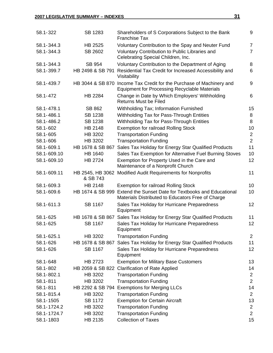| 58.1-322    | SB 1283                      | Shareholders of S Corporations Subject to the Bank<br><b>Franchise Tax</b>                                  | 9              |
|-------------|------------------------------|-------------------------------------------------------------------------------------------------------------|----------------|
| 58.1-344.3  | HB 2525                      | Voluntary Contribution to the Spay and Neuter Fund                                                          | $\overline{7}$ |
| 58.1-344.3  | SB 2602                      | Voluntary Contribution to Public Libraries and<br>Celebrating Special Children, Inc.                        | $\overline{7}$ |
| 58.1-344.3  | <b>SB 954</b>                | Voluntary Contribution to the Department of Aging                                                           | 8              |
| 58.1-399.7  | HB 2498 & SB 791             | Residential Tax Credit for Increased Accessibility and<br>Visitability                                      | 6              |
| 58.1-439.7  | HB 3044 & SB 870             | Income Tax Credit for the Purchase of Machinery and<br><b>Equipment for Processing Recyclable Materials</b> | 9              |
| 58.1-472    | HB 2284                      | Change in Date by Which Employers' Withholding<br><b>Returns Must be Filed</b>                              | 6              |
| 58.1-478.1  | SB 862                       | Withholding Tax; Information Furnished                                                                      | 15             |
| 58.1-486.1  | SB 1238                      | Withholding Tax for Pass-Through Entities                                                                   | 8              |
| 58.1-486.2  | SB 1238                      | Withholding Tax for Pass-Through Entities                                                                   | 8              |
| 58.1-602    | HB 2148                      | <b>Exemption for railroad Rolling Stock</b>                                                                 | 10             |
| 58.1-605    | HB 3202                      | <b>Transportation Funding</b>                                                                               | $\overline{2}$ |
| 58.1-606    | HB 3202                      | <b>Transportation Funding</b>                                                                               | $\overline{2}$ |
| 58.1-609.1  | HB 1678 & SB 867             | Sales Tax Holiday for Energy Star Qualified Products                                                        | 11             |
| 58.1-609.10 | <b>HB 1640</b>               | Sales Tax Exemption for Alternative Fuel Burning Stoves                                                     | 10             |
| 58.1-609.10 | HB 2724                      | Exemption for Property Used in the Care and<br>Maintenance of a Nonprofit Church                            | 12             |
| 58.1-609.11 | HB 2545, HB 3062<br>& SB 743 | Modified Audit Requirements for Nonprofits                                                                  | 11             |
| 58.1-609.3  | HB 2148                      | <b>Exemption for railroad Rolling Stock</b>                                                                 | 10             |
| 58.1-609.6  | HB 1674 & SB 999             | Extend the Sunset Date for Textbooks and Educational<br>Materials Distributed to Educators Free of Charge   | 10             |
| 58.1-611.3  | SB 1167                      | Sales Tax Holiday for Hurricane Preparedness<br>Equipment                                                   | 12             |
| 58.1-625    | HB 1678 & SB 867             | Sales Tax Holiday for Energy Star Qualified Products                                                        | 11             |
| 58.1-625    | <b>SB 1167</b>               | Sales Tax Holiday for Hurricane Preparedness<br>Equipment                                                   | 12             |
| 58.1-625.1  | HB 3202                      | <b>Transportation Funding</b>                                                                               | $\overline{2}$ |
| 58.1-626    | HB 1678 & SB 867             | Sales Tax Holiday for Energy Star Qualified Products                                                        | 11             |
| 58.1-626    | SB 1167                      | Sales Tax Holiday for Hurricane Preparedness<br>Equipment                                                   | 12             |
| 58.1-648    | HB 2723                      | <b>Exemption for Military Base Customers</b>                                                                | 13             |
| 58.1-802    | HB 2059 & SB 822             | <b>Clarification of Rate Applied</b>                                                                        | 14             |
| 58.1-802.1  | HB 3202                      | <b>Transportation Funding</b>                                                                               | $\overline{2}$ |
| 58.1-811    | HB 3202                      | <b>Transportation Funding</b>                                                                               | $\overline{2}$ |
| 58.1-811    | HB 2292 & SB 794             | <b>Exemptions for Merging LLCs</b>                                                                          | 14             |
| 58.1-815.4  | HB 3202                      | <b>Transportation Funding</b>                                                                               | $\overline{2}$ |
| 58.1-1505   | <b>SB 1172</b>               | <b>Exemption for Certain Aircraft</b>                                                                       | 13             |
| 58.1-1724.2 | HB 3202                      | <b>Transportation Funding</b>                                                                               | $\overline{c}$ |
| 58.1-1724.7 | HB 3202                      | <b>Transportation Funding</b>                                                                               | $\overline{2}$ |
| 58.1-1803   | HB 2135                      | <b>Collection of Taxes</b>                                                                                  | 15             |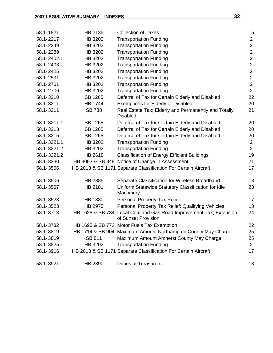| 58.1-1821   | HB 2135        | <b>Collection of Taxes</b>                                                                 | 15             |
|-------------|----------------|--------------------------------------------------------------------------------------------|----------------|
| 58.1-2217   | HB 3202        | <b>Transportation Funding</b>                                                              | $\overline{2}$ |
| 58.1-2249   | HB 3202        | <b>Transportation Funding</b>                                                              | $\overline{2}$ |
| 58.1-2289   | HB 3202        | <b>Transportation Funding</b>                                                              | $\overline{2}$ |
| 58.1-2402.1 | HB 3202        | <b>Transportation Funding</b>                                                              | $\overline{2}$ |
| 58.1-2403   | HB 3202        | <b>Transportation Funding</b>                                                              | $\overline{2}$ |
| 58.1-2425   | HB 3202        | <b>Transportation Funding</b>                                                              | $\overline{2}$ |
| 58.1-2531   | HB 3202        | <b>Transportation Funding</b>                                                              | $\overline{2}$ |
| 58.1-2701   | HB 3202        | <b>Transportation Funding</b>                                                              | $\overline{2}$ |
| 58.1-2706   | HB 3202        | <b>Transportation Funding</b>                                                              | $\overline{2}$ |
| 58.1-3210   | SB 1265        | Deferral of Tax for Certain Elderly and Disabled                                           | 22             |
| 58.1-3211   | <b>HB 1744</b> | <b>Exemptions for Elderly or Disabled</b>                                                  | 20             |
| 58.1-3211   | <b>SB 788</b>  | Real Estate Tax; Elderly and Permanently and Totally<br><b>Disabled</b>                    | 21             |
| 58.1-3211.1 | SB 1265        | Deferral of Tax for Certain Elderly and Disabled                                           | 20             |
| 58.1-3213   | SB 1265        | Deferral of Tax for Certain Elderly and Disabled                                           | 20             |
| 58.1-3215   | SB 1265        | Deferral of Tax for Certain Elderly and Disabled                                           | 20             |
| 58.1-3221.1 | HB 3202        | <b>Transportation Funding</b>                                                              | $\overline{2}$ |
| 58.1-3221.2 | HB 3202        | <b>Transportation Funding</b>                                                              | $\overline{2}$ |
| 58.1-3221.2 | HB 2618        | <b>Classification of Energy Efficient Buildings</b>                                        | 19             |
| 58.1-3330   |                | HB 3093 & SB 848 Notice of Change in Assessment                                            | 21             |
| 58.1-3506   |                | HB 2013 & SB 1171 Separate Classification For Certain Aircraft                             | 17             |
| 58.1-3506   | HB 2385        | Separate Classification for Wireless Broadband                                             | 18             |
| 58.1-3507   | HB 2181        | Uniform Statewide Statutory Classification for Idle<br>Machinery                           | 23             |
| 58.1-3523   | <b>HB 1880</b> | Personal Property Tax Relief                                                               | 17             |
| 58.1-3523   | HB 2975        | Personal Property Tax Relief: Qualifying Vehicles                                          | 18             |
| 58.1-3713   |                | HB 1628 & SB 734 Local Coal and Gas Road Improvement Tax; Extension<br>of Sunset Provision | 24             |
| 58.1-3732   |                | HB 1695 & SB 772 Motor Fuels Tax Exemption                                                 | 22             |
| 58.1-3819   |                | HB 1714 & SB 904 Maximum Amount Northampton County May Charge                              | 25             |
| 58.1-3819   | SB 811         | Maximum Amount Amherst County May Charge                                                   | 25             |
| 58.1-3825.1 | HB 3202        | <b>Transportation Funding</b>                                                              | $\overline{2}$ |
| 58.1-3916   |                | HB 2013 & SB 1171 Separate Classification For Certain Aircraft                             | 17             |
| 58.1-3921   | HB 2390        | <b>Duties of Treasurers</b>                                                                | 18             |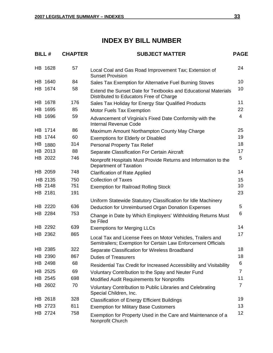## **INDEX BY BILL NUMBER**

| <b>BILL#</b> | <b>CHAPTER</b> | <b>SUBJECT MATTER</b>                                                                                                       | <b>PAGE</b>     |
|--------------|----------------|-----------------------------------------------------------------------------------------------------------------------------|-----------------|
| HB 1628      | 57             | Local Coal and Gas Road Improvement Tax; Extension of<br><b>Sunset Provision</b>                                            | 24              |
| HB 1640      | 84             | Sales Tax Exemption for Alternative Fuel Burning Stoves                                                                     | 10              |
| HB 1674      | 58             | Extend the Sunset Date for Textbooks and Educational Materials<br>Distributed to Educators Free of Charge                   | 10              |
| HB 1678      | 176            | Sales Tax Holiday for Energy Star Qualified Products                                                                        | 11              |
| HB 1695      | 85             | <b>Motor Fuels Tax Exemption</b>                                                                                            | 22              |
| HB 1696      | 59             | Advancement of Virginia's Fixed Date Conformity with the<br><b>Internal Revenue Code</b>                                    | 4               |
| HB 1714      | 86             | Maximum Amount Northampton County May Charge                                                                                | 25              |
| HB 1744      | 60             | <b>Exemptions for Elderly or Disabled</b>                                                                                   | 19              |
| HB 1880      | 314            | <b>Personal Property Tax Relief</b>                                                                                         | 18              |
| HB 2013      | 88             | Separate Classification For Certain Aircraft                                                                                | 17              |
| HB 2022      | 746            | Nonprofit Hospitals Must Provide Returns and Information to the<br>Department of Taxation                                   | 5               |
| HB 2059      | 748            | <b>Clarification of Rate Applied</b>                                                                                        | 14              |
| HB 2135      | 750            | <b>Collection of Taxes</b>                                                                                                  | 15              |
| HB 2148      | 751            | <b>Exemption for Railroad Rolling Stock</b>                                                                                 | 10              |
| HB 2181      | 191            |                                                                                                                             | 23              |
|              |                | Uniform Statewide Statutory Classification for Idle Machinery                                                               |                 |
| HB 2220      | 636            | Deduction for Unreimbursed Organ Donation Expenses                                                                          | 5               |
| HB 2284      | 753            | Change in Date by Which Employers' Withholding Returns Must<br>be Filed                                                     | 6               |
| HB 2292      | 639            | <b>Exemptions for Merging LLCs</b>                                                                                          | 14              |
| HB 2362      | 865            | Local Tax and License Fees on Motor Vehicles, Trailers and<br>Semitrailers; Exemption for Certain Law Enforcement Officials | 17              |
| HB 2385      | 322            | Separate Classification for Wireless Broadband                                                                              | 18              |
| HB 2390      | 867            | <b>Duties of Treasurers</b>                                                                                                 | 18              |
| HB 2498      | 68             | Residential Tax Credit for Increased Accessibility and Visitability                                                         | $6\phantom{1}6$ |
| HB 2525      | 69             | Voluntary Contribution to the Spay and Neuter Fund                                                                          | $\overline{7}$  |
| HB 2545      | 698            | <b>Modified Audit Requirements for Nonprofits</b>                                                                           | 11              |
| HB 2602      | 70             | Voluntary Contribution to Public Libraries and Celebrating<br>Special Children, Inc.                                        | $\overline{7}$  |
| HB 2618      | 328            | <b>Classification of Energy Efficient Buildings</b>                                                                         | 19              |
| HB 2723      | 811            | <b>Exemption for Military Base Customers</b>                                                                                | 13              |
| HB 2724      | 758            | Exemption for Property Used in the Care and Maintenance of a<br>Nonprofit Church                                            | 12              |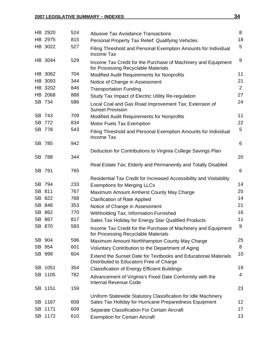| HB 2920 | 524 | <b>Abusive Tax Avoidance Transactions</b>                                                                        | 8              |
|---------|-----|------------------------------------------------------------------------------------------------------------------|----------------|
| HB 2975 | 815 | Personal Property Tax Relief: Qualifying Vehicles                                                                | 18             |
| HB 3022 | 527 | Filing Threshold and Personal Exemption Amounts for Individual<br>Income Tax                                     | 5              |
| HB 3044 | 529 | Income Tax Credit for the Purchase of Machinery and Equipment<br>for Processing Recyclable Materials             | 9              |
| HB 3062 | 704 | <b>Modified Audit Requirements for Nonprofits</b>                                                                | 11             |
| HB 3093 | 344 | Notice of Change in Assessment                                                                                   | 21             |
| HB 3202 | 846 | <b>Transportation Funding</b>                                                                                    | $\overline{2}$ |
| HB 2068 | 888 | Study Tax Impact of Electric Utility Re-regulation                                                               | 27             |
| SB 734  | 586 | Local Coal and Gas Road Improvement Tax; Extension of<br><b>Sunset Provision</b>                                 | 24             |
| SB 743  | 709 | <b>Modified Audit Requirements for Nonprofits</b>                                                                | 11             |
| SB 772  | 834 | <b>Motor Fuels Tax Exemption</b>                                                                                 | 22             |
| SB 778  | 543 | Filing Threshold and Personal Exemption Amounts for Individual<br>Income Tax                                     | 5              |
| SB 785  | 942 |                                                                                                                  | 6              |
|         |     | Deduction for Contributions to Virginia College Savings Plan                                                     |                |
| SB 788  | 344 |                                                                                                                  | 20             |
| SB 791  | 765 | Real Estate Tax; Elderly and Permanently and Totally Disabled                                                    | 6              |
|         |     | Residential Tax Credit for Increased Accessibility and Visitability                                              |                |
| SB 794  | 233 | <b>Exemptions for Merging LLCs</b>                                                                               | 14             |
| SB 811  | 767 | Maximum Amount Amherst County May Charge                                                                         | 25             |
| SB 822  | 768 | <b>Clarification of Rate Applied</b>                                                                             | 14             |
| SB 848  | 353 | Notice of Change in Assessment                                                                                   | 21             |
| SB 862  | 770 | Withholding Tax; Information Furnished                                                                           | 16             |
| SB 867  | 817 | Sales Tax Holiday for Energy Star Qualified Products                                                             | 11             |
| SB 870  | 593 | Income Tax Credit for the Purchase of Machinery and Equipment<br>for Processing Recyclable Materials             | 9              |
| SB 904  | 596 | Maximum Amount Northhampton County May Charge                                                                    | 25             |
| SB 954  | 601 | Voluntary Contribution to the Department of Aging                                                                | 8              |
| SB 999  | 604 | <b>Extend the Sunset Date for Textbooks and Educational Materials</b><br>Distributed to Educators Free of Charge | 10             |
| SB 1051 | 354 | <b>Classification of Energy Efficient Buildings</b>                                                              | 19             |
| SB 1105 | 782 | Advancement of Virginia's Fixed Date Conformity with the<br><b>Internal Revenue Code</b>                         | 4              |
| SB 1151 | 159 |                                                                                                                  | 23             |
|         |     | Uniform Statewide Statutory Classification for Idle Machinery                                                    |                |
| SB 1167 | 608 | Sales Tax Holiday for Hurricane Preparedness Equipment                                                           | 12             |
| SB 1171 | 609 | Separate Classification For Certain Aircraft                                                                     | 17             |
| SB 1172 | 610 | <b>Exemption for Certain Aircraft</b>                                                                            | 13             |